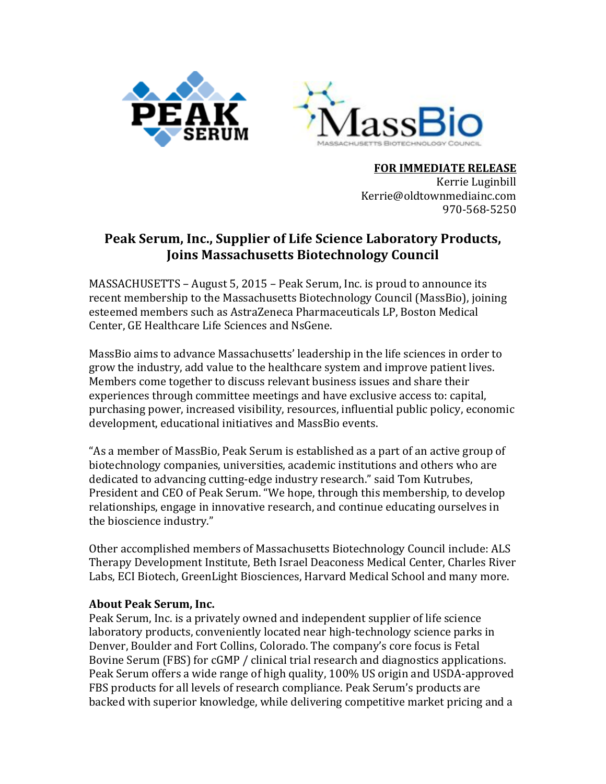



**FOR IMMEDIATE RELEASE** Kerrie Luginbill Kerrie@oldtownmediainc.com 970-568-5250

## **Peak Serum, Inc., Supplier of Life Science Laboratory Products, Joins Massachusetts Biotechnology Council**

MASSACHUSETTS – August 5, 2015 – Peak Serum, Inc. is proud to announce its recent membership to the Massachusetts Biotechnology Council (MassBio), joining esteemed members such as AstraZeneca Pharmaceuticals LP, Boston Medical Center, GE Healthcare Life Sciences and NsGene.

MassBio aims to advance Massachusetts' leadership in the life sciences in order to grow the industry, add value to the healthcare system and improve patient lives. Members come together to discuss relevant business issues and share their experiences through committee meetings and have exclusive access to: capital, purchasing power, increased visibility, resources, influential public policy, economic development, educational initiatives and MassBio events.

"As a member of MassBio, Peak Serum is established as a part of an active group of biotechnology companies, universities, academic institutions and others who are dedicated to advancing cutting-edge industry research." said Tom Kutrubes, President and CEO of Peak Serum. "We hope, through this membership, to develop relationships, engage in innovative research, and continue educating ourselves in the bioscience industry."

Other accomplished members of Massachusetts Biotechnology Council include: ALS Therapy Development Institute, Beth Israel Deaconess Medical Center, Charles River Labs, ECI Biotech, GreenLight Biosciences, Harvard Medical School and many more.

## **About Peak Serum, Inc.**

Peak Serum, Inc. is a privately owned and independent supplier of life science laboratory products, conveniently located near high-technology science parks in Denver, Boulder and Fort Collins, Colorado. The company's core focus is Fetal Bovine Serum (FBS) for cGMP / clinical trial research and diagnostics applications. Peak Serum offers a wide range of high quality, 100% US origin and USDA-approved FBS products for all levels of research compliance. Peak Serum's products are backed with superior knowledge, while delivering competitive market pricing and a